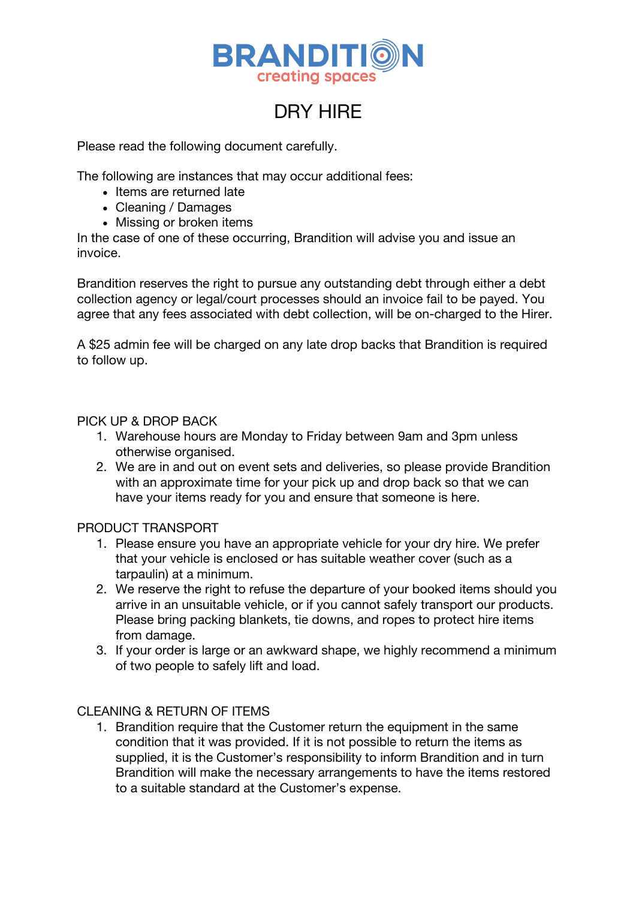

# DRY HIRE

Please read the following document carefully.

The following are instances that may occur additional fees:

- Items are returned late
- Cleaning / Damages
- Missing or broken items

In the case of one of these occurring, Brandition will advise you and issue an invoice.

Brandition reserves the right to pursue any outstanding debt through either a debt collection agency or legal/court processes should an invoice fail to be payed. You agree that any fees associated with debt collection, will be on-charged to the Hirer.

A \$25 admin fee will be charged on any late drop backs that Brandition is required to follow up.

### PICK UP & DROP BACK

- 1. Warehouse hours are Monday to Friday between 9am and 3pm unless otherwise organised.
- 2. We are in and out on event sets and deliveries, so please provide Brandition with an approximate time for your pick up and drop back so that we can have your items ready for you and ensure that someone is here.

#### PRODUCT TRANSPORT

- 1. Please ensure you have an appropriate vehicle for your dry hire. We prefer that your vehicle is enclosed or has suitable weather cover (such as a tarpaulin) at a minimum.
- 2. We reserve the right to refuse the departure of your booked items should you arrive in an unsuitable vehicle, or if you cannot safely transport our products. Please bring packing blankets, tie downs, and ropes to protect hire items from damage.
- 3. If your order is large or an awkward shape, we highly recommend a minimum of two people to safely lift and load.

## CLEANING & RETURN OF ITEMS

1. Brandition require that the Customer return the equipment in the same condition that it was provided. If it is not possible to return the items as supplied, it is the Customer's responsibility to inform Brandition and in turn Brandition will make the necessary arrangements to have the items restored to a suitable standard at the Customer's expense.